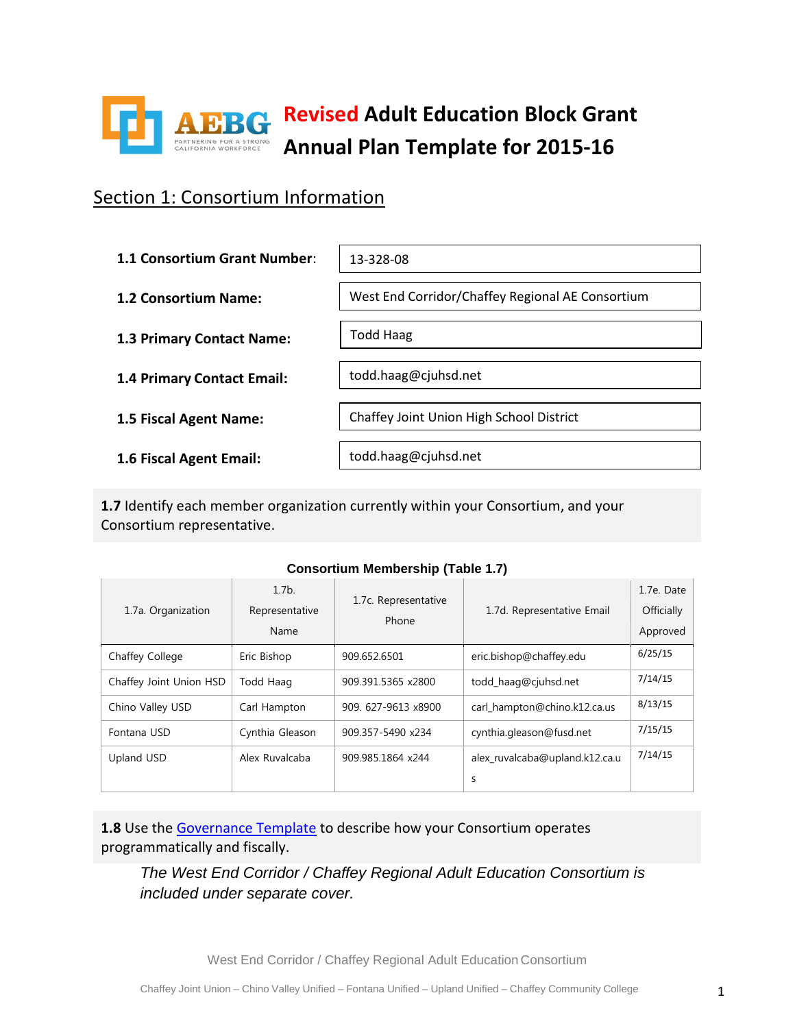

### Section 1: Consortium Information

| 1.1 Consortium Grant Number: | 13-328-08                                        |
|------------------------------|--------------------------------------------------|
| 1.2 Consortium Name:         | West End Corridor/Chaffey Regional AE Consortium |
| 1.3 Primary Contact Name:    | <b>Todd Haag</b>                                 |
| 1.4 Primary Contact Email:   | todd.haag@cjuhsd.net                             |
| 1.5 Fiscal Agent Name:       | Chaffey Joint Union High School District         |
| 1.6 Fiscal Agent Email:      | todd.haag@cjuhsd.net                             |

**1.7** Identify each member organization currently within your Consortium, and your Consortium representative.

| 1.7a. Organization      | $1.7b$ .<br>Representative<br>Name | 1.7c. Representative<br>Phone | 1.7d. Representative Email     | 1.7e. Date<br>Officially<br>Approved |
|-------------------------|------------------------------------|-------------------------------|--------------------------------|--------------------------------------|
| Chaffey College         | Eric Bishop                        | 909.652.6501                  | eric.bishop@chaffey.edu        | 6/25/15                              |
| Chaffey Joint Union HSD | Todd Haag                          | 909.391.5365 x2800            | todd haag@cjuhsd.net           | 7/14/15                              |
| Chino Valley USD        | Carl Hampton                       | 909. 627-9613 x8900           | carl hampton@chino.k12.ca.us   | 8/13/15                              |
| Fontana USD             | Cynthia Gleason                    | 909.357-5490 x234             | cynthia.gleason@fusd.net       | 7/15/15                              |
| Upland USD              | Alex Ruvalcaba                     | 909.985.1864 x244             | alex ruvalcaba@upland.k12.ca.u | 7/14/15                              |
|                         |                                    |                               | S                              |                                      |

#### **Consortium Membership (Table 1.7)**

1.8 Use the [Governance Template](http://aebg.cccco.edu/portals/1/docs/reporting/Consortia%20Report%20on%20Governance%20Compliance.docx) to describe how your Consortium operates programmatically and fiscally.

*The West End Corridor / Chaffey Regional Adult Education Consortium is included under separate cover.*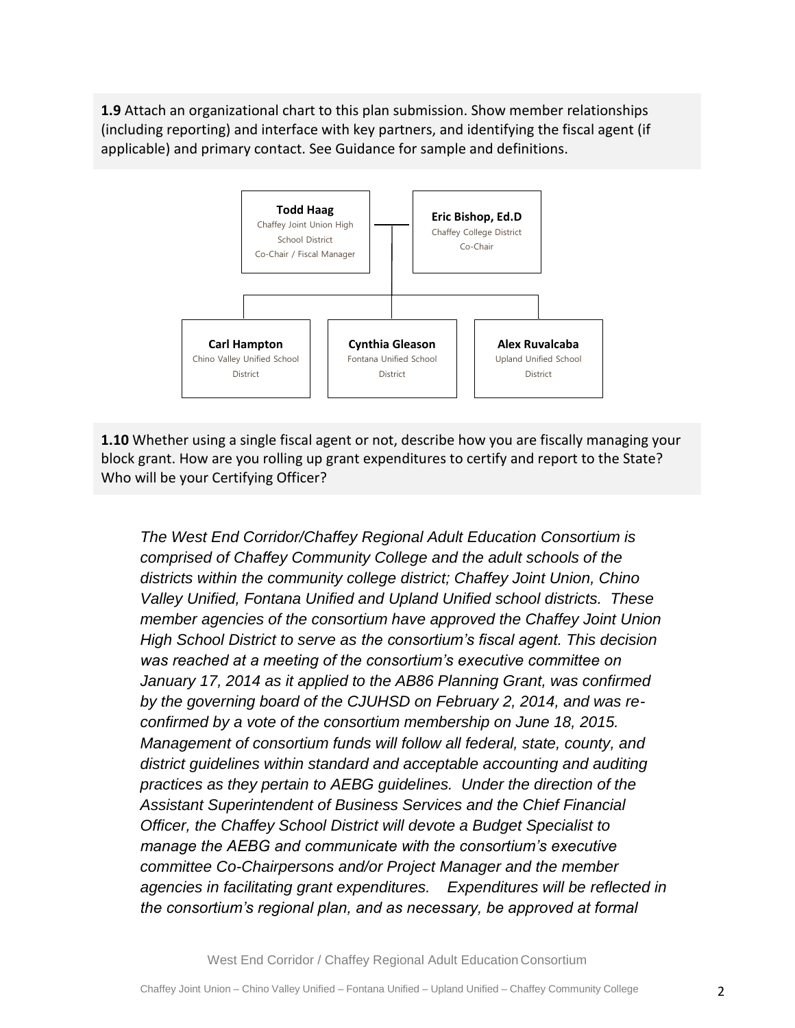**1.9** Attach an organizational chart to this plan submission. Show member relationships (including reporting) and interface with key partners, and identifying the fiscal agent (if applicable) and primary contact. See Guidance for sample and definitions.



**1.10** Whether using a single fiscal agent or not, describe how you are fiscally managing your block grant. How are you rolling up grant expenditures to certify and report to the State? Who will be your Certifying Officer?

*The West End Corridor/Chaffey Regional Adult Education Consortium is comprised of Chaffey Community College and the adult schools of the districts within the community college district; Chaffey Joint Union, Chino Valley Unified, Fontana Unified and Upland Unified school districts. These member agencies of the consortium have approved the Chaffey Joint Union High School District to serve as the consortium's fiscal agent. This decision was reached at a meeting of the consortium's executive committee on January 17, 2014 as it applied to the AB86 Planning Grant, was confirmed by the governing board of the CJUHSD on February 2, 2014, and was reconfirmed by a vote of the consortium membership on June 18, 2015. Management of consortium funds will follow all federal, state, county, and district guidelines within standard and acceptable accounting and auditing practices as they pertain to AEBG guidelines. Under the direction of the Assistant Superintendent of Business Services and the Chief Financial Officer, the Chaffey School District will devote a Budget Specialist to manage the AEBG and communicate with the consortium's executive committee Co-Chairpersons and/or Project Manager and the member agencies in facilitating grant expenditures. Expenditures will be reflected in the consortium's regional plan, and as necessary, be approved at formal*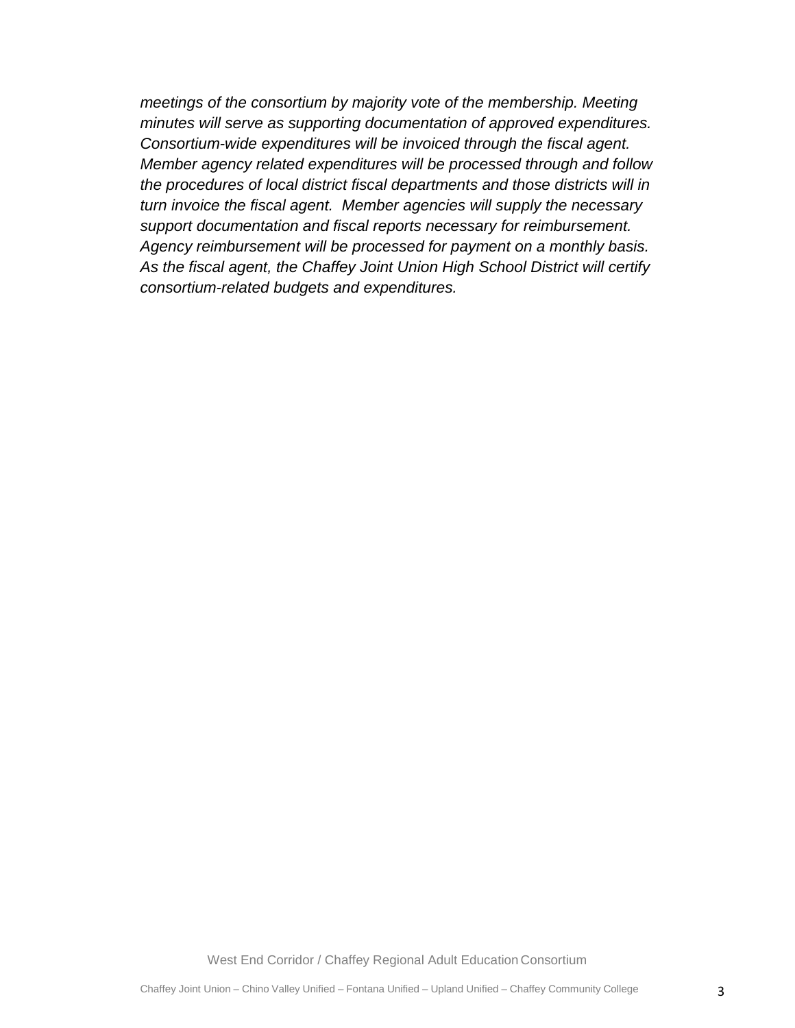*meetings of the consortium by majority vote of the membership. Meeting minutes will serve as supporting documentation of approved expenditures. Consortium-wide expenditures will be invoiced through the fiscal agent. Member agency related expenditures will be processed through and follow the procedures of local district fiscal departments and those districts will in turn invoice the fiscal agent. Member agencies will supply the necessary support documentation and fiscal reports necessary for reimbursement. Agency reimbursement will be processed for payment on a monthly basis. As the fiscal agent, the Chaffey Joint Union High School District will certify consortium-related budgets and expenditures.*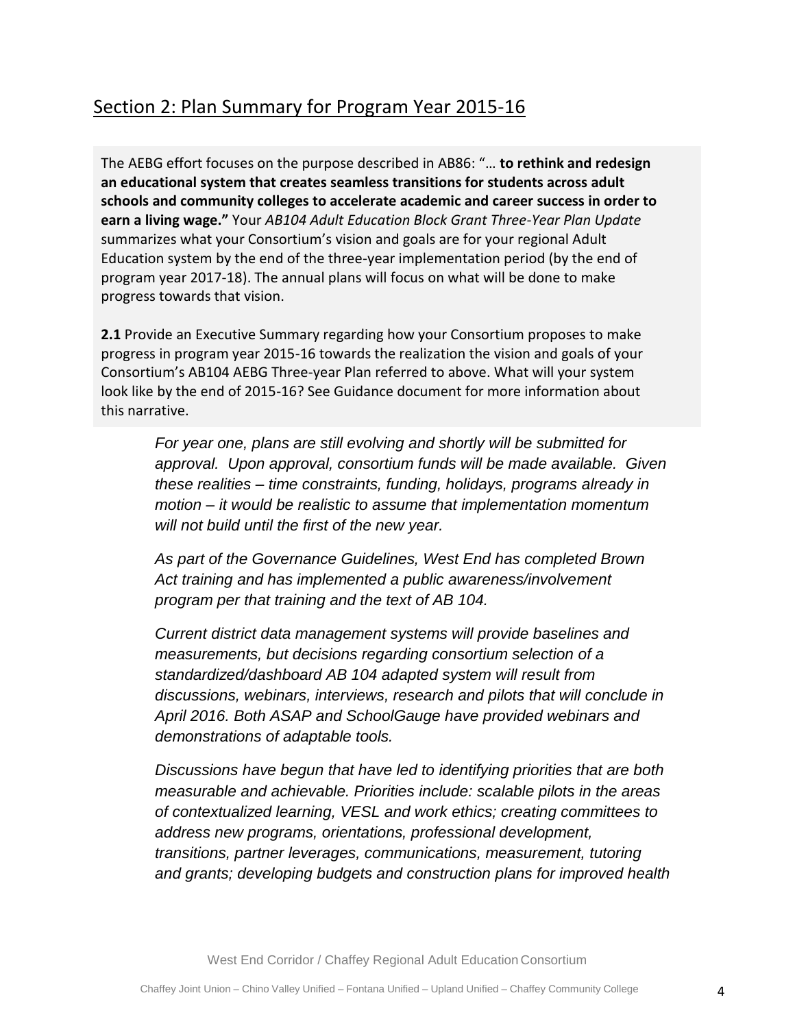The AEBG effort focuses on the purpose described in AB86: "… **to rethink and redesign an educational system that creates seamless transitions for students across adult schools and community colleges to accelerate academic and career success in order to earn a living wage."** Your *AB104 Adult Education Block Grant Three-Year Plan Update*  summarizes what your Consortium's vision and goals are for your regional Adult Education system by the end of the three-year implementation period (by the end of program year 2017-18). The annual plans will focus on what will be done to make progress towards that vision.

**2.1** Provide an Executive Summary regarding how your Consortium proposes to make progress in program year 2015-16 towards the realization the vision and goals of your Consortium's AB104 AEBG Three-year Plan referred to above. What will your system look like by the end of 2015-16? See Guidance document for more information about this narrative.

*For year one, plans are still evolving and shortly will be submitted for approval. Upon approval, consortium funds will be made available. Given these realities – time constraints, funding, holidays, programs already in motion – it would be realistic to assume that implementation momentum will not build until the first of the new year.*

*As part of the Governance Guidelines, West End has completed Brown Act training and has implemented a public awareness/involvement program per that training and the text of AB 104.*

*Current district data management systems will provide baselines and measurements, but decisions regarding consortium selection of a standardized/dashboard AB 104 adapted system will result from discussions, webinars, interviews, research and pilots that will conclude in April 2016. Both ASAP and SchoolGauge have provided webinars and demonstrations of adaptable tools.*

*Discussions have begun that have led to identifying priorities that are both measurable and achievable. Priorities include: scalable pilots in the areas of contextualized learning, VESL and work ethics; creating committees to address new programs, orientations, professional development, transitions, partner leverages, communications, measurement, tutoring and grants; developing budgets and construction plans for improved health*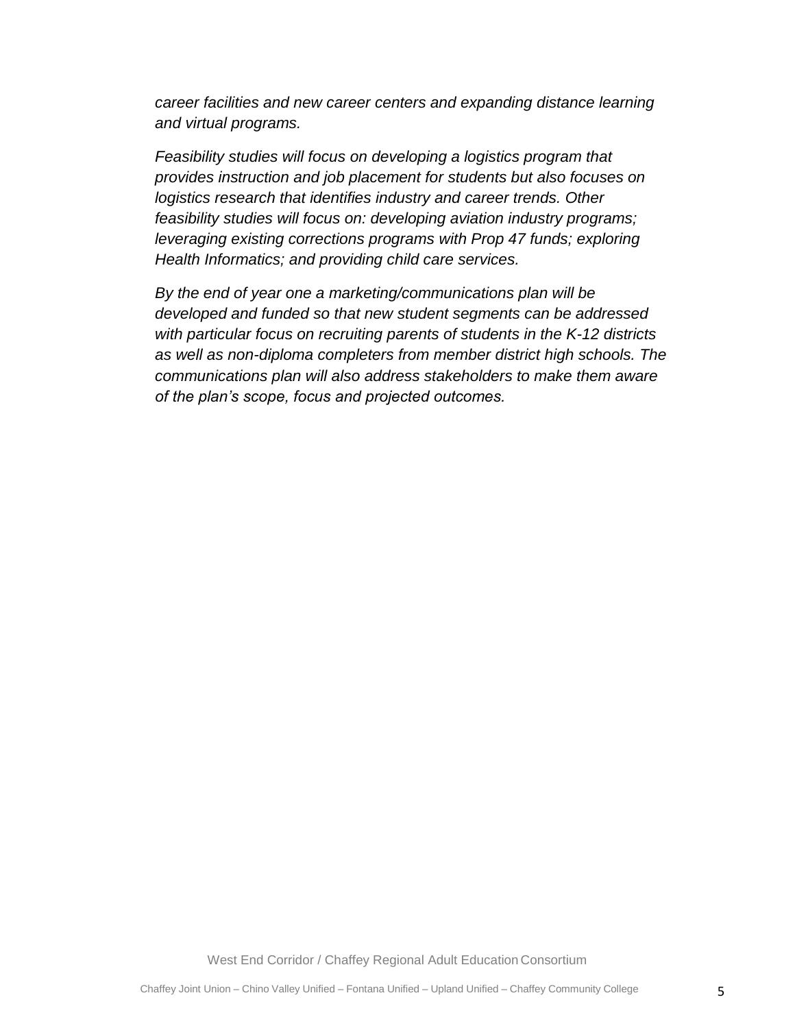*career facilities and new career centers and expanding distance learning and virtual programs.*

*Feasibility studies will focus on developing a logistics program that provides instruction and job placement for students but also focuses on logistics research that identifies industry and career trends. Other feasibility studies will focus on: developing aviation industry programs; leveraging existing corrections programs with Prop 47 funds; exploring Health Informatics; and providing child care services.*

*By the end of year one a marketing/communications plan will be developed and funded so that new student segments can be addressed with particular focus on recruiting parents of students in the K-12 districts as well as non-diploma completers from member district high schools. The communications plan will also address stakeholders to make them aware of the plan's scope, focus and projected outcomes.*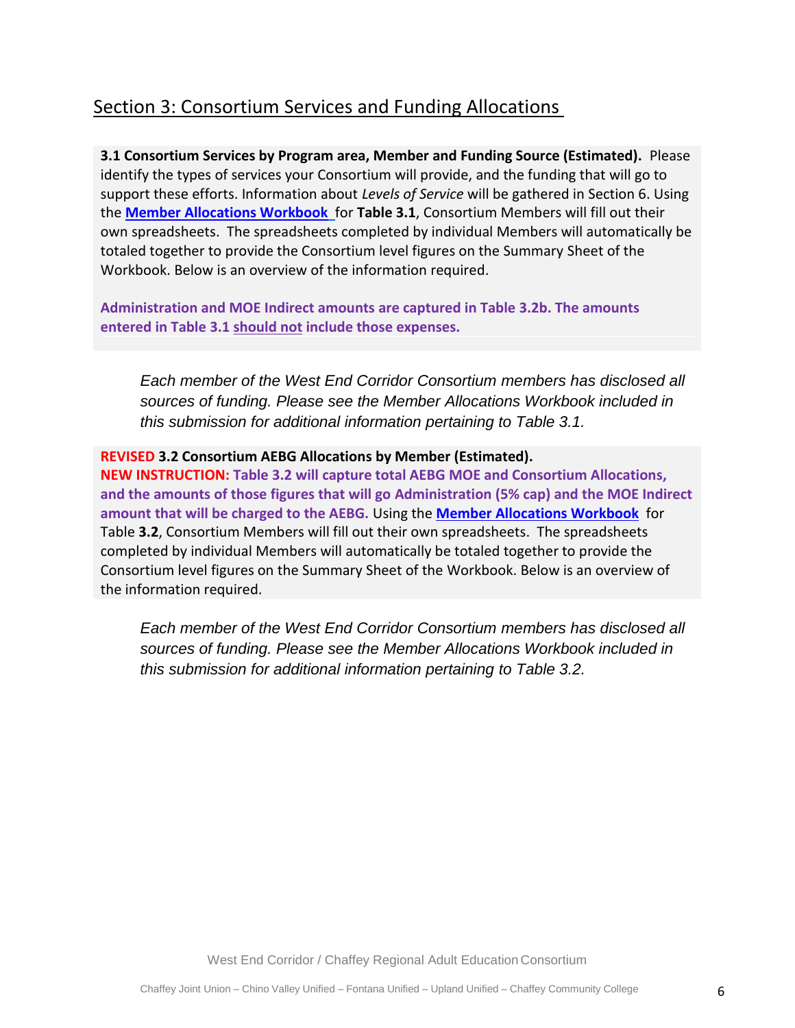### Section 3: Consortium Services and Funding Allocations

**3.1 Consortium Services by Program area, Member and Funding Source (Estimated).** Please identify the types of services your Consortium will provide, and the funding that will go to support these efforts. Information about *Levels of Service* will be gathered in Section 6. Using the **[Member Allocations Workbook](http://aebg.cccco.edu/portals/1/docs/reporting/AB104_MemberAllocationsForm_2015.xlsx)** for **Table 3.1**, Consortium Members will fill out their own spreadsheets. The spreadsheets completed by individual Members will automatically be totaled together to provide the Consortium level figures on the Summary Sheet of the Workbook. Below is an overview of the information required.

**Administration and MOE Indirect amounts are captured in Table 3.2b. The amounts entered in Table 3.1 should not include those expenses.** 

*Each member of the West End Corridor Consortium members has disclosed all sources of funding. Please see the Member Allocations Workbook included in this submission for additional information pertaining to Table 3.1.*

#### **REVISED 3.2 Consortium AEBG Allocations by Member (Estimated).**

**NEW INSTRUCTION: Table 3.2 will capture total AEBG MOE and Consortium Allocations, and the amounts of those figures that will go Administration (5% cap) and the MOE Indirect amount that will be charged to the AEBG.** Using the **[Member Allocations Workbook](http://aebg.cccco.edu/portals/1/docs/reporting/AB104_MemberAllocationsForm_2015.xlsx)** for Table **3.2**, Consortium Members will fill out their own spreadsheets. The spreadsheets completed by individual Members will automatically be totaled together to provide the Consortium level figures on the Summary Sheet of the Workbook. Below is an overview of the information required.

*Each member of the West End Corridor Consortium members has disclosed all sources of funding. Please see the Member Allocations Workbook included in this submission for additional information pertaining to Table 3.2.*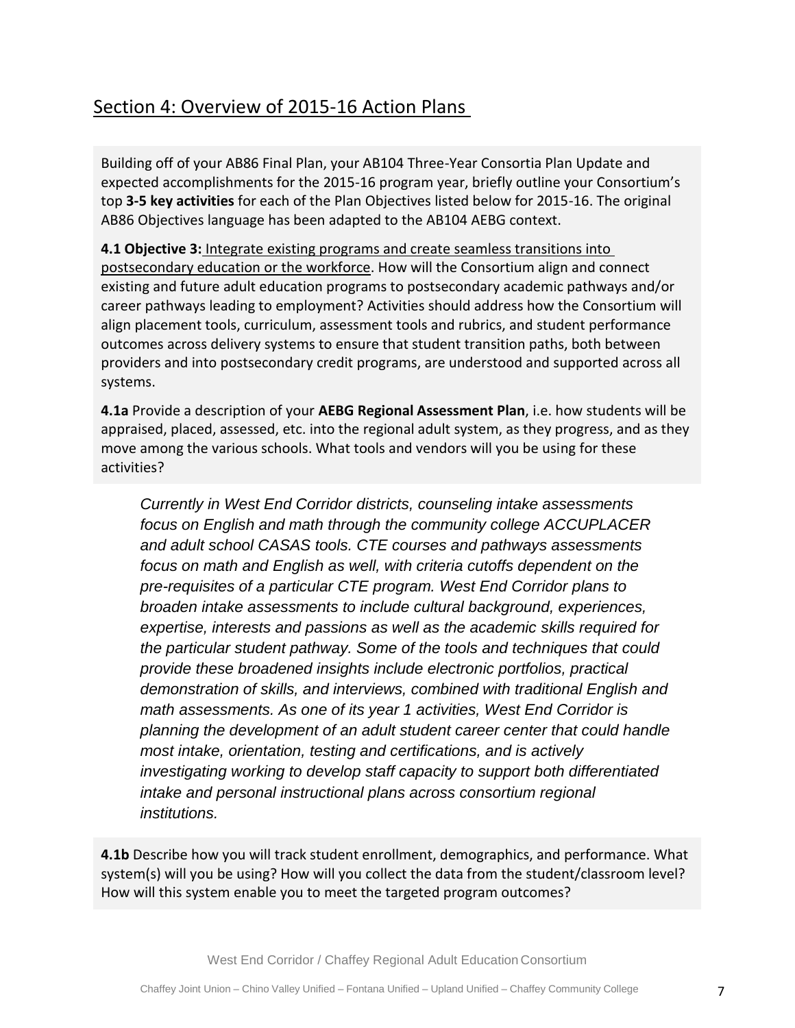### Section 4: Overview of 2015-16 Action Plans

Building off of your AB86 Final Plan, your AB104 Three-Year Consortia Plan Update and expected accomplishments for the 2015-16 program year, briefly outline your Consortium's top **3-5 key activities** for each of the Plan Objectives listed below for 2015-16. The original AB86 Objectives language has been adapted to the AB104 AEBG context.

**4.1 Objective 3:** Integrate existing programs and create seamless transitions into postsecondary education or the workforce. How will the Consortium align and connect existing and future adult education programs to postsecondary academic pathways and/or career pathways leading to employment? Activities should address how the Consortium will align placement tools, curriculum, assessment tools and rubrics, and student performance outcomes across delivery systems to ensure that student transition paths, both between providers and into postsecondary credit programs, are understood and supported across all systems.

**4.1a** Provide a description of your **AEBG Regional Assessment Plan**, i.e. how students will be appraised, placed, assessed, etc. into the regional adult system, as they progress, and as they move among the various schools. What tools and vendors will you be using for these activities?

*Currently in West End Corridor districts, counseling intake assessments focus on English and math through the community college ACCUPLACER and adult school CASAS tools. CTE courses and pathways assessments focus on math and English as well, with criteria cutoffs dependent on the pre-requisites of a particular CTE program. West End Corridor plans to broaden intake assessments to include cultural background, experiences, expertise, interests and passions as well as the academic skills required for the particular student pathway. Some of the tools and techniques that could provide these broadened insights include electronic portfolios, practical demonstration of skills, and interviews, combined with traditional English and math assessments. As one of its year 1 activities, West End Corridor is planning the development of an adult student career center that could handle most intake, orientation, testing and certifications, and is actively investigating working to develop staff capacity to support both differentiated intake and personal instructional plans across consortium regional institutions.*

**4.1b** Describe how you will track student enrollment, demographics, and performance. What system(s) will you be using? How will you collect the data from the student/classroom level? How will this system enable you to meet the targeted program outcomes?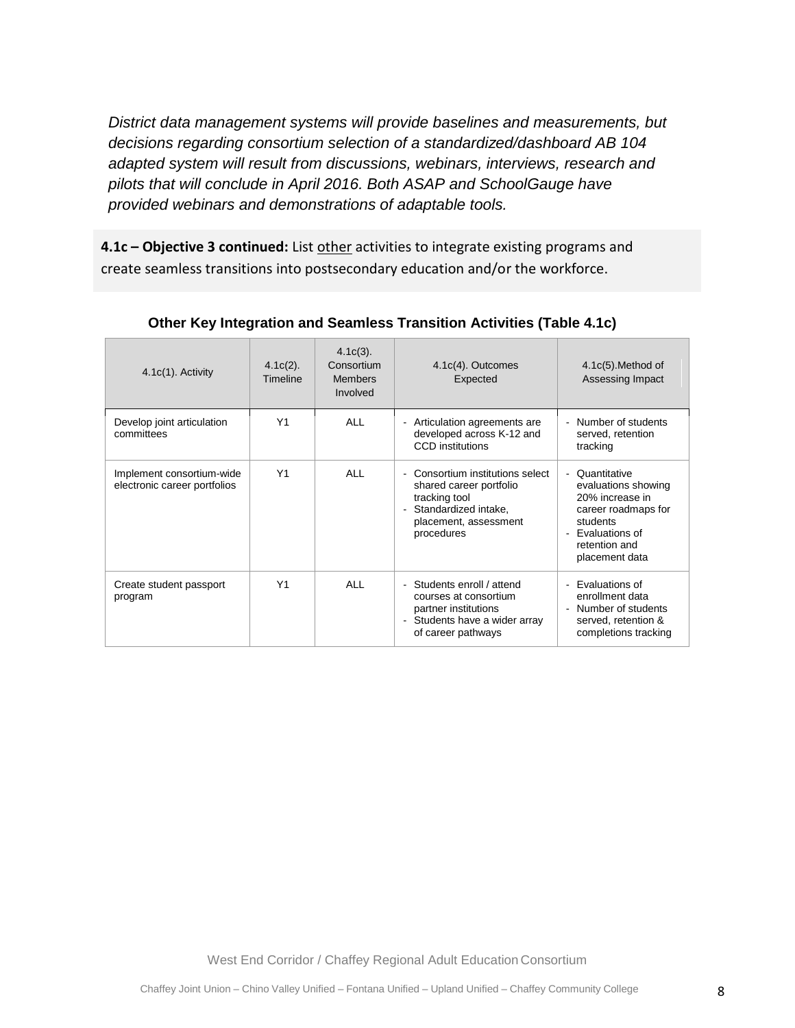*District data management systems will provide baselines and measurements, but decisions regarding consortium selection of a standardized/dashboard AB 104 adapted system will result from discussions, webinars, interviews, research and pilots that will conclude in April 2016. Both ASAP and SchoolGauge have provided webinars and demonstrations of adaptable tools.*

**4.1c - Objective 3 continued:** List other activities to integrate existing programs and create seamless transitions into postsecondary education and/or the workforce.

| $4.1c(1)$ . Activity                                      | $4.1c(2)$ .<br>Timeline | $4.1c(3)$ .<br>Consortium<br><b>Members</b><br>Involved | $4.1c(4)$ . Outcomes<br>Expected                                                                                                                                                        | $4.1c(5)$ . Method of<br>Assessing Impact                                                                                                                        |
|-----------------------------------------------------------|-------------------------|---------------------------------------------------------|-----------------------------------------------------------------------------------------------------------------------------------------------------------------------------------------|------------------------------------------------------------------------------------------------------------------------------------------------------------------|
| Develop joint articulation<br>committees                  | Y <sub>1</sub>          | <b>ALL</b>                                              | Articulation agreements are<br>-<br>developed across K-12 and<br><b>CCD</b> institutions                                                                                                | Number of students<br>$\blacksquare$<br>served, retention<br>tracking                                                                                            |
| Implement consortium-wide<br>electronic career portfolios | Y1                      | <b>ALL</b>                                              | Consortium institutions select<br>$\overline{\phantom{0}}$<br>shared career portfolio<br>tracking tool<br>Standardized intake.<br>$\blacksquare$<br>placement, assessment<br>procedures | Quantitative<br>$\blacksquare$<br>evaluations showing<br>20% increase in<br>career roadmaps for<br>students<br>Evaluations of<br>retention and<br>placement data |
| Create student passport<br>program                        | Y1                      | <b>ALL</b>                                              | - Students enroll / attend<br>courses at consortium<br>partner institutions<br>- Students have a wider array<br>of career pathways                                                      | Evaluations of<br>÷.<br>enrollment data<br>Number of students<br>served, retention &<br>completions tracking                                                     |

**Other Key Integration and Seamless Transition Activities (Table 4.1c)**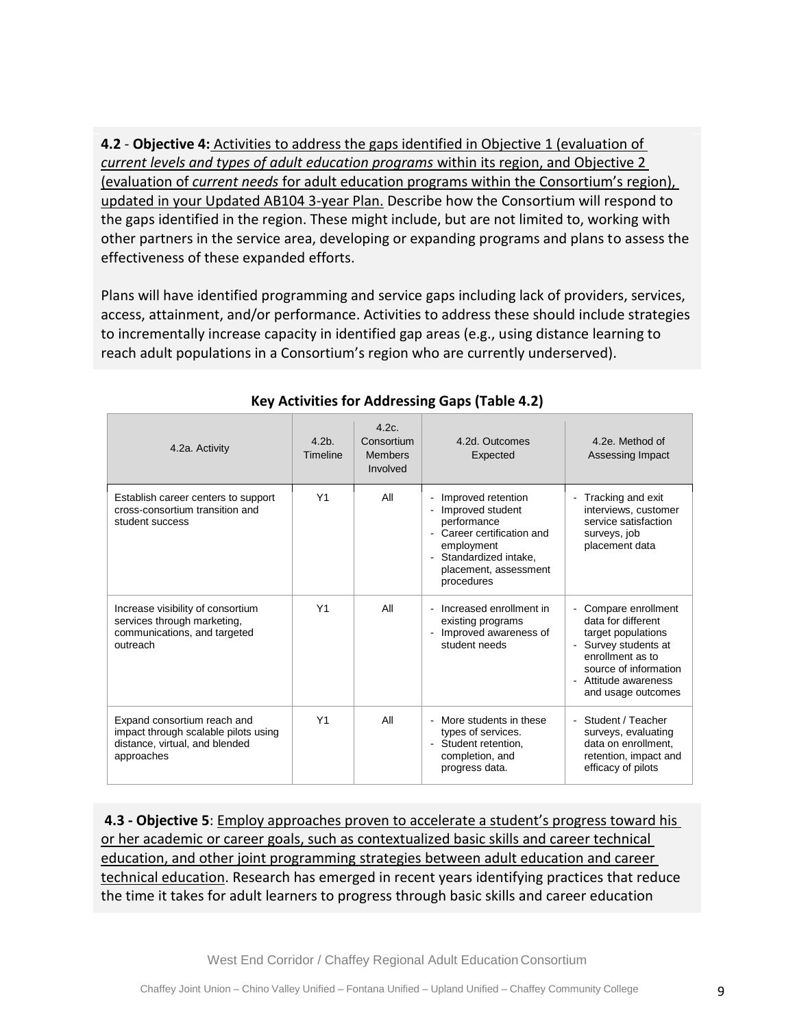**4.2** - **Objective 4:** Activities to address the gaps identified in Objective 1 (evaluation of *current levels and types of adult education programs* within its region, and Objective 2 (evaluation of *current needs* for adult education programs within the Consortium's region), updated in your Updated AB104 3-year Plan. Describe how the Consortium will respond to the gaps identified in the region. These might include, but are not limited to, working with other partners in the service area, developing or expanding programs and plans to assess the effectiveness of these expanded efforts.

Plans will have identified programming and service gaps including lack of providers, services, access, attainment, and/or performance. Activities to address these should include strategies to incrementally increase capacity in identified gap areas (e.g., using distance learning to reach adult populations in a Consortium's region who are currently underserved).

| 4.2a. Activity                                                                                                      | 4.2 <sub>b</sub><br>Timeline | 4.2c<br>Consortium<br><b>Members</b><br>Involved | 4.2d. Outcomes<br>Expected                                                                                                                                                                                                               | 4.2e. Method of<br>Assessing Impact                                                                                                                                               |
|---------------------------------------------------------------------------------------------------------------------|------------------------------|--------------------------------------------------|------------------------------------------------------------------------------------------------------------------------------------------------------------------------------------------------------------------------------------------|-----------------------------------------------------------------------------------------------------------------------------------------------------------------------------------|
| Establish career centers to support<br>cross-consortium transition and<br>student success                           | Y1                           | All                                              | Improved retention<br>$\blacksquare$<br>Improved student<br>$\blacksquare$<br>performance<br>Career certification and<br>$\sim$<br>employment<br>Standardized intake,<br>$\overline{\phantom{a}}$<br>placement, assessment<br>procedures | Tracking and exit<br>interviews, customer<br>service satisfaction<br>surveys, job<br>placement data                                                                               |
| Increase visibility of consortium<br>services through marketing,<br>communications, and targeted<br>outreach        | Y <sub>1</sub>               | All                                              | Increased enrollment in<br>ä,<br>existing programs<br>Improved awareness of<br>$\overline{a}$<br>student needs                                                                                                                           | - Compare enrollment<br>data for different<br>target populations<br>Survey students at<br>enrollment as to<br>source of information<br>- Attitude awareness<br>and usage outcomes |
| Expand consortium reach and<br>impact through scalable pilots using<br>distance, virtual, and blended<br>approaches | Y1                           | All                                              | More students in these<br>L.<br>types of services.<br>Student retention.<br>$\blacksquare$<br>completion, and<br>progress data.                                                                                                          | - Student / Teacher<br>surveys, evaluating<br>data on enrollment,<br>retention, impact and<br>efficacy of pilots                                                                  |

### **Key Activities for Addressing Gaps (Table 4.2)**

**4.3 - Objective 5**: Employ approaches proven to accelerate a student's progress toward his or her academic or career goals, such as contextualized basic skills and career technical education, and other joint programming strategies between adult education and career technical education. Research has emerged in recent years identifying practices that reduce the time it takes for adult learners to progress through basic skills and career education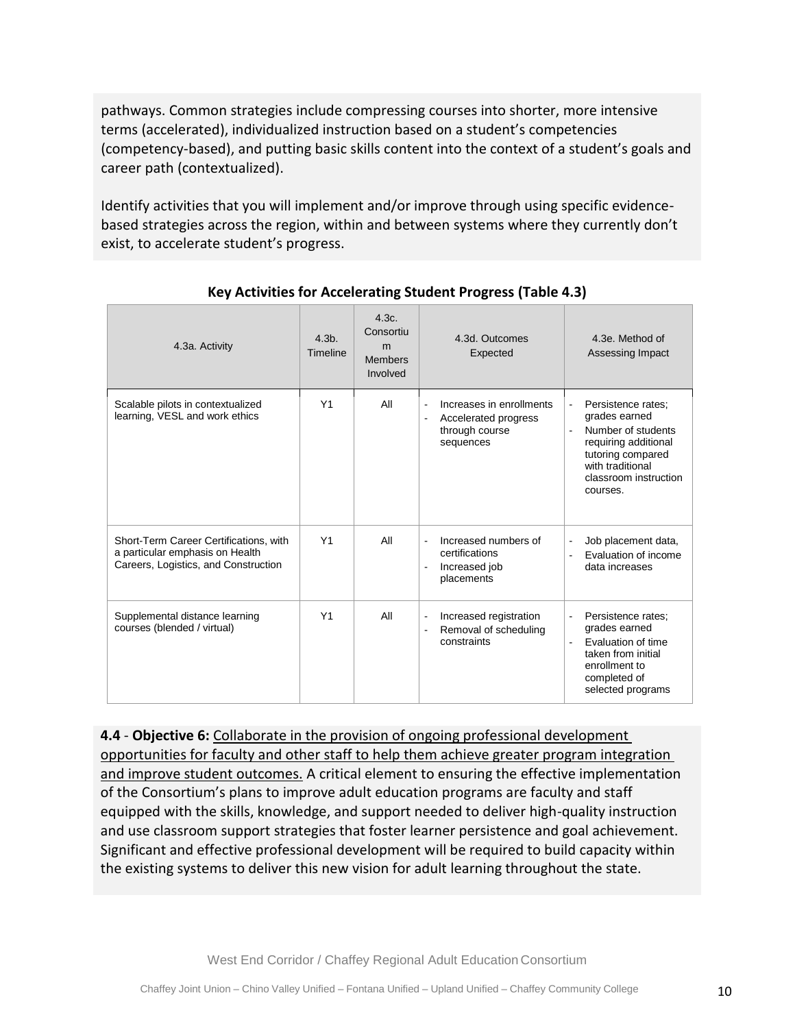pathways. Common strategies include compressing courses into shorter, more intensive terms (accelerated), individualized instruction based on a student's competencies (competency-based), and putting basic skills content into the context of a student's goals and career path (contextualized).

Identify activities that you will implement and/or improve through using specific evidencebased strategies across the region, within and between systems where they currently don't exist, to accelerate student's progress.

| 4.3a. Activity                                                                                                    | $4.3b$ .<br>Timeline | 4.3c.<br>Consortiu<br>m<br><b>Members</b><br>Involved | 4.3d. Outcomes<br>Expected                                                                         | 4.3e. Method of<br>Assessing Impact                                                                                                                                                                           |
|-------------------------------------------------------------------------------------------------------------------|----------------------|-------------------------------------------------------|----------------------------------------------------------------------------------------------------|---------------------------------------------------------------------------------------------------------------------------------------------------------------------------------------------------------------|
| Scalable pilots in contextualized<br>learning, VESL and work ethics                                               | Y <sub>1</sub>       | All                                                   | Increases in enrollments<br>$\blacksquare$<br>Accelerated progress<br>through course<br>sequences  | Persistence rates:<br>$\overline{\phantom{a}}$<br>grades earned<br>Number of students<br>$\overline{a}$<br>requiring additional<br>tutoring compared<br>with traditional<br>classroom instruction<br>courses. |
| Short-Term Career Certifications, with<br>a particular emphasis on Health<br>Careers, Logistics, and Construction | Y <sub>1</sub>       | All                                                   | Increased numbers of<br>$\sim$<br>certifications<br>Increased job<br>$\blacksquare$<br>placements  | Job placement data,<br>$\overline{a}$<br>Evaluation of income<br>L.<br>data increases                                                                                                                         |
| Supplemental distance learning<br>courses (blended / virtual)                                                     | Y1                   | All                                                   | Increased registration<br>$\blacksquare$<br>Removal of scheduling<br>$\blacksquare$<br>constraints | Persistence rates:<br>$\overline{\phantom{a}}$<br>grades earned<br>Evaluation of time<br>taken from initial<br>enrollment to<br>completed of<br>selected programs                                             |

### **Key Activities for Accelerating Student Progress (Table 4.3)**

**4.4** - **Objective 6:** Collaborate in the provision of ongoing professional development opportunities for faculty and other staff to help them achieve greater program integration and improve student outcomes. A critical element to ensuring the effective implementation of the Consortium's plans to improve adult education programs are faculty and staff equipped with the skills, knowledge, and support needed to deliver high-quality instruction and use classroom support strategies that foster learner persistence and goal achievement. Significant and effective professional development will be required to build capacity within the existing systems to deliver this new vision for adult learning throughout the state.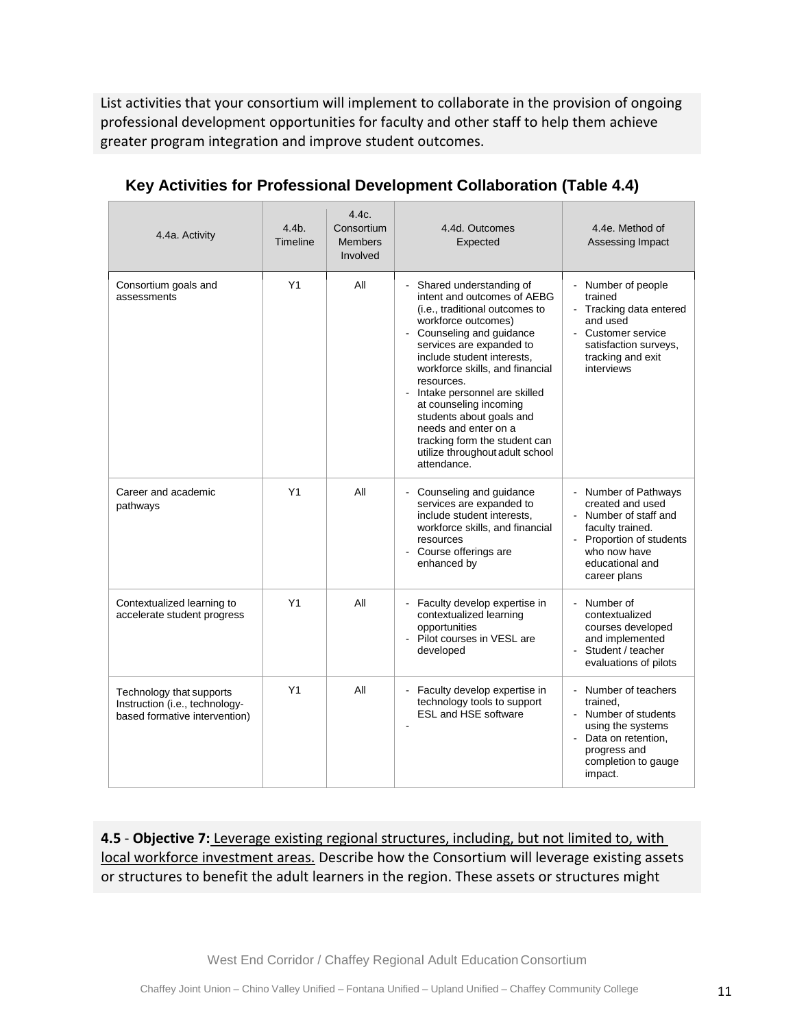List activities that your consortium will implement to collaborate in the provision of ongoing professional development opportunities for faculty and other staff to help them achieve greater program integration and improve student outcomes.

| 4.4a. Activity                                                                              | $4.4b$ .<br>Timeline | 4.4c.<br>Consortium<br><b>Members</b><br>Involved | 4.4d. Outcomes<br>Expected                                                                                                                                                                                                                                                                                                                                                                                                                                                       | 4.4e. Method of<br>Assessing Impact                                                                                                                            |
|---------------------------------------------------------------------------------------------|----------------------|---------------------------------------------------|----------------------------------------------------------------------------------------------------------------------------------------------------------------------------------------------------------------------------------------------------------------------------------------------------------------------------------------------------------------------------------------------------------------------------------------------------------------------------------|----------------------------------------------------------------------------------------------------------------------------------------------------------------|
| Consortium goals and<br>assessments                                                         | Y1                   | ΑIΙ                                               | Shared understanding of<br>÷,<br>intent and outcomes of AEBG<br>(i.e., traditional outcomes to<br>workforce outcomes)<br>- Counseling and guidance<br>services are expanded to<br>include student interests,<br>workforce skills, and financial<br>resources.<br>Intake personnel are skilled<br>$\blacksquare$<br>at counseling incoming<br>students about goals and<br>needs and enter on a<br>tracking form the student can<br>utilize throughout adult school<br>attendance. | Number of people<br>trained<br>- Tracking data entered<br>and used<br>- Customer service<br>satisfaction surveys,<br>tracking and exit<br>interviews           |
| Career and academic<br>pathways                                                             | Y1                   | All                                               | Counseling and guidance<br>services are expanded to<br>include student interests,<br>workforce skills, and financial<br>resources<br>- Course offerings are<br>enhanced by                                                                                                                                                                                                                                                                                                       | Number of Pathways<br>created and used<br>Number of staff and<br>faculty trained.<br>Proportion of students<br>who now have<br>educational and<br>career plans |
| Contextualized learning to<br>accelerate student progress                                   | Y1                   | All                                               | - Faculty develop expertise in<br>contextualized learning<br>opportunities<br>Pilot courses in VESL are<br>÷.<br>developed                                                                                                                                                                                                                                                                                                                                                       | Number of<br>contextualized<br>courses developed<br>and implemented<br>Student / teacher<br>evaluations of pilots                                              |
| Technology that supports<br>Instruction (i.e., technology-<br>based formative intervention) | Y1                   | All                                               | Faculty develop expertise in<br>$\blacksquare$<br>technology tools to support<br><b>ESL and HSE software</b>                                                                                                                                                                                                                                                                                                                                                                     | Number of teachers<br>trained,<br>- Number of students<br>using the systems<br>- Data on retention,<br>progress and<br>completion to gauge<br>impact.          |

### **Key Activities for Professional Development Collaboration (Table 4.4)**

**4.5** - **Objective 7:** Leverage existing regional structures, including, but not limited to, with local workforce investment areas. Describe how the Consortium will leverage existing assets or structures to benefit the adult learners in the region. These assets or structures might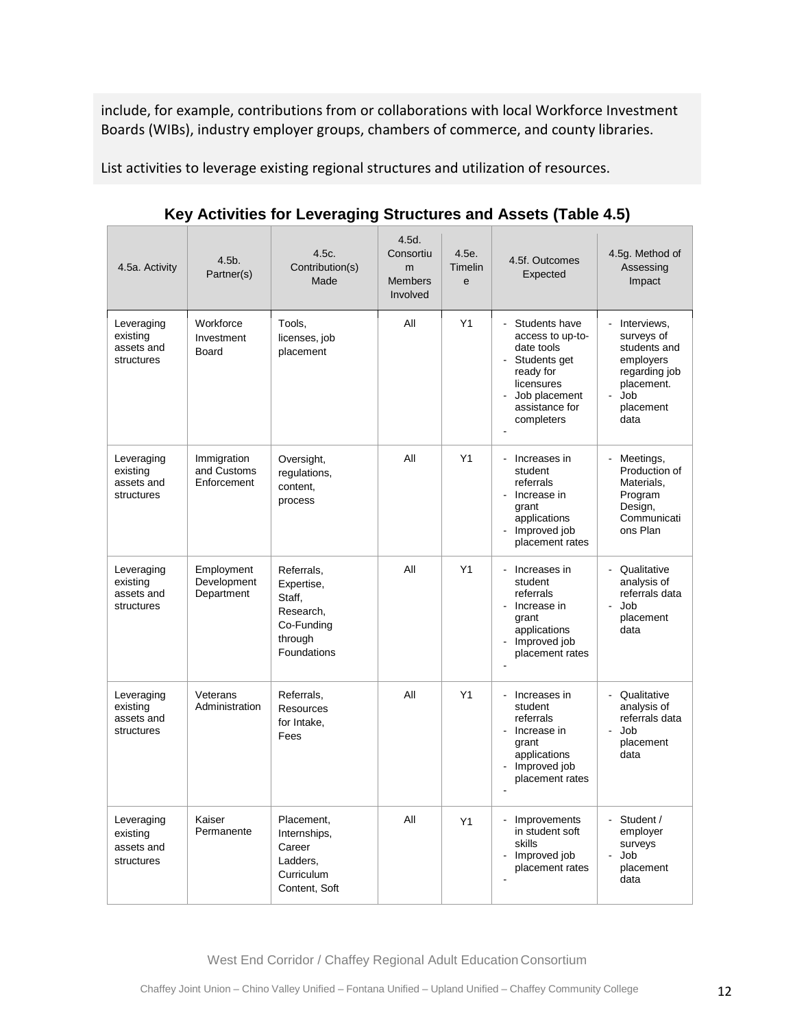include, for example, contributions from or collaborations with local Workforce Investment Boards (WIBs), industry employer groups, chambers of commerce, and county libraries.

List activities to leverage existing regional structures and utilization of resources.

| 4.5a. Activity                                     | $4.5b$ .<br>Partner(s)                    | 4.5c.<br>Contribution(s)<br>Made                                                        | 4.5d.<br>Consortiu<br>m<br><b>Members</b><br>Involved | 4.5e.<br>Timelin<br>$\mathbf{e}$ | 4.5f. Outcomes<br>Expected                                                                                                                        | 4.5g. Method of<br>Assessing<br>Impact                                                                              |
|----------------------------------------------------|-------------------------------------------|-----------------------------------------------------------------------------------------|-------------------------------------------------------|----------------------------------|---------------------------------------------------------------------------------------------------------------------------------------------------|---------------------------------------------------------------------------------------------------------------------|
| Leveraging<br>existing<br>assets and<br>structures | Workforce<br>Investment<br>Board          | Tools,<br>licenses, job<br>placement                                                    | All                                                   | Y1                               | Students have<br>access to up-to-<br>date tools<br>Students get<br>ready for<br>licensures<br>Job placement<br>assistance for<br>completers       | - Interviews,<br>surveys of<br>students and<br>employers<br>regarding job<br>placement.<br>Job<br>placement<br>data |
| Leveraging<br>existing<br>assets and<br>structures | Immigration<br>and Customs<br>Enforcement | Oversight,<br>regulations,<br>content.<br>process                                       | All                                                   | Y1                               | Increases in<br>$\mathbf{r}$<br>student<br>referrals<br>Increase in<br>$\blacksquare$<br>grant<br>applications<br>Improved job<br>placement rates | Meetings,<br>Production of<br>Materials,<br>Program<br>Design,<br>Communicati<br>ons Plan                           |
| Leveraging<br>existing<br>assets and<br>structures | Employment<br>Development<br>Department   | Referrals,<br>Expertise,<br>Staff,<br>Research,<br>Co-Funding<br>through<br>Foundations | All                                                   | Y1                               | Increases in<br>ä,<br>student<br>referrals<br>$\sim$<br>Increase in<br>grant<br>applications<br>Improved job<br>$\Box$<br>placement rates         | - Qualitative<br>analysis of<br>referrals data<br>Job<br>ä,<br>placement<br>data                                    |
| Leveraging<br>existing<br>assets and<br>structures | Veterans<br>Administration                | Referrals,<br>Resources<br>for Intake,<br>Fees                                          | All                                                   | Y1                               | Increases in<br>$\Box$<br>student<br>referrals<br>- Increase in<br>grant<br>applications<br>Improved job<br>÷.<br>placement rates                 | - Qualitative<br>analysis of<br>referrals data<br>Job<br>$\blacksquare$<br>placement<br>data                        |
| Leveraging<br>existing<br>assets and<br>structures | Kaiser<br>Permanente                      | Placement,<br>Internships,<br>Career<br>Ladders.<br>Curriculum<br>Content, Soft         | All                                                   | Y1                               | Improvements<br>$\blacksquare$<br>in student soft<br>skills<br>Improved job<br>placement rates                                                    | - Student /<br>employer<br>surveys<br>Job<br>$\blacksquare$<br>placement<br>data                                    |

**Key Activities for Leveraging Structures and Assets (Table 4.5)**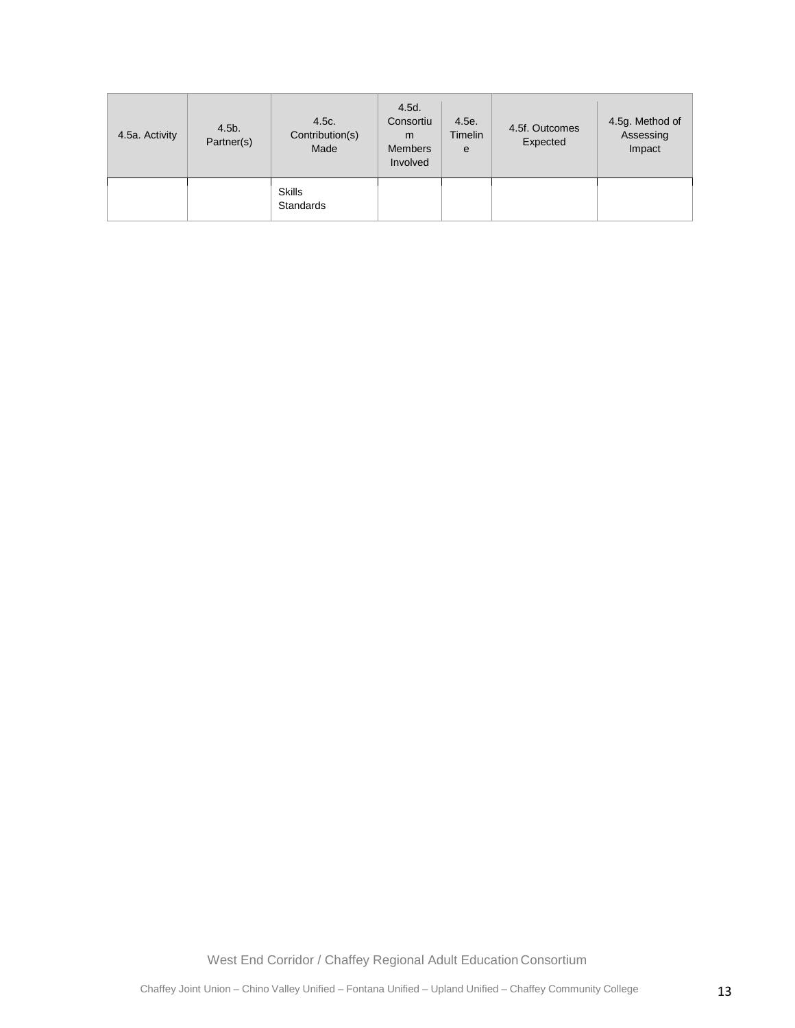| 4.5a. Activity | $4.5b$ .<br>Partner(s) | 4.5c.<br>Contribution(s)<br>Made  | 4.5d.<br>Consortiu<br>m<br><b>Members</b><br>Involved | 4.5e.<br>Timelin<br>e | 4.5f. Outcomes<br>Expected | 4.5g. Method of<br>Assessing<br>Impact |
|----------------|------------------------|-----------------------------------|-------------------------------------------------------|-----------------------|----------------------------|----------------------------------------|
|                |                        | <b>Skills</b><br><b>Standards</b> |                                                       |                       |                            |                                        |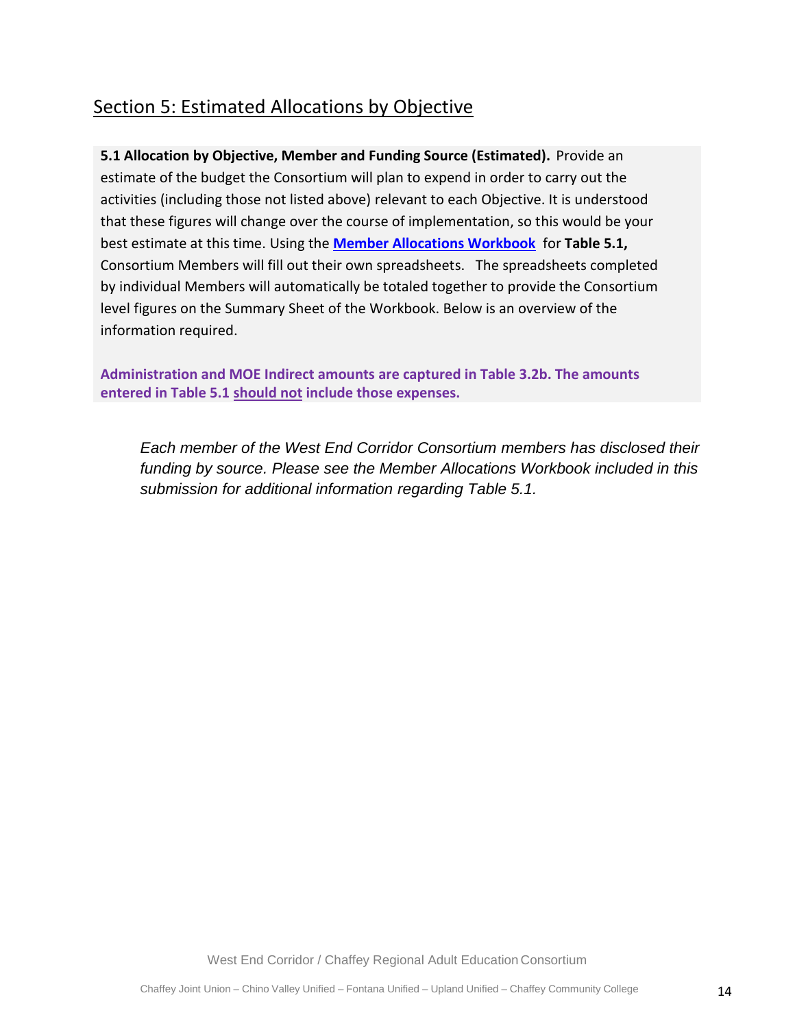## Section 5: Estimated Allocations by Objective

**5.1 Allocation by Objective, Member and Funding Source (Estimated).** Provide an estimate of the budget the Consortium will plan to expend in order to carry out the activities (including those not listed above) relevant to each Objective. It is understood that these figures will change over the course of implementation, so this would be your best estimate at this time. Using the **[Member Allocations Workbook](http://aebg.cccco.edu/portals/1/docs/reporting/AB104_MemberAllocationsForm_2015.xlsx)** for **Table 5.1,** Consortium Members will fill out their own spreadsheets. The spreadsheets completed by individual Members will automatically be totaled together to provide the Consortium level figures on the Summary Sheet of the Workbook. Below is an overview of the information required.

**Administration and MOE Indirect amounts are captured in Table 3.2b. The amounts entered in Table 5.1 should not include those expenses.** 

*Each member of the West End Corridor Consortium members has disclosed their funding by source. Please see the Member Allocations Workbook included in this submission for additional information regarding Table 5.1.*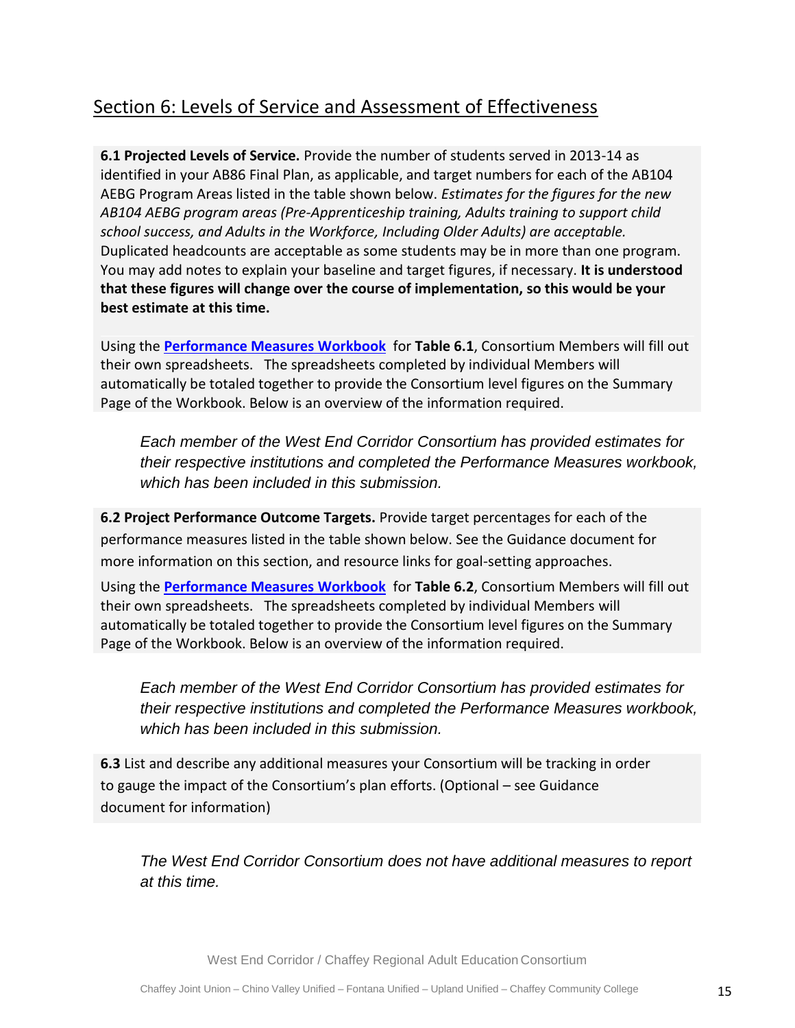## Section 6: Levels of Service and Assessment of Effectiveness

**6.1 Projected Levels of Service.** Provide the number of students served in 2013-14 as identified in your AB86 Final Plan, as applicable, and target numbers for each of the AB104 AEBG Program Areas listed in the table shown below. *Estimates for the figures for the new AB104 AEBG program areas (Pre-Apprenticeship training, Adults training to support child school success, and Adults in the Workforce, Including Older Adults) are acceptable.*  Duplicated headcounts are acceptable as some students may be in more than one program. You may add notes to explain your baseline and target figures, if necessary. **It is understood that these figures will change over the course of implementation, so this would be your best estimate at this time.** 

Using the **[Performance Measures Workbook](http://aebg.cccco.edu/portals/1/docs/reporting/AB104_Performance%20Measures%20Form.xlsx)** for **Table 6.1**, Consortium Members will fill out their own spreadsheets. The spreadsheets completed by individual Members will automatically be totaled together to provide the Consortium level figures on the Summary Page of the Workbook. Below is an overview of the information required.

*Each member of the West End Corridor Consortium has provided estimates for their respective institutions and completed the Performance Measures workbook, which has been included in this submission.* 

**6.2 Project Performance Outcome Targets.** Provide target percentages for each of the performance measures listed in the table shown below. See the Guidance document for more information on this section, and resource links for goal-setting approaches.

Using the **[Performance Measures Workbook](http://aebg.cccco.edu/portals/1/docs/reporting/AB104_Performance%20Measures%20Form.xlsx)** for **Table 6.2**, Consortium Members will fill out their own spreadsheets. The spreadsheets completed by individual Members will automatically be totaled together to provide the Consortium level figures on the Summary Page of the Workbook. Below is an overview of the information required.

*Each member of the West End Corridor Consortium has provided estimates for their respective institutions and completed the Performance Measures workbook, which has been included in this submission.* 

**6.3** List and describe any additional measures your Consortium will be tracking in order to gauge the impact of the Consortium's plan efforts. (Optional – see Guidance document for information)

*The West End Corridor Consortium does not have additional measures to report at this time.*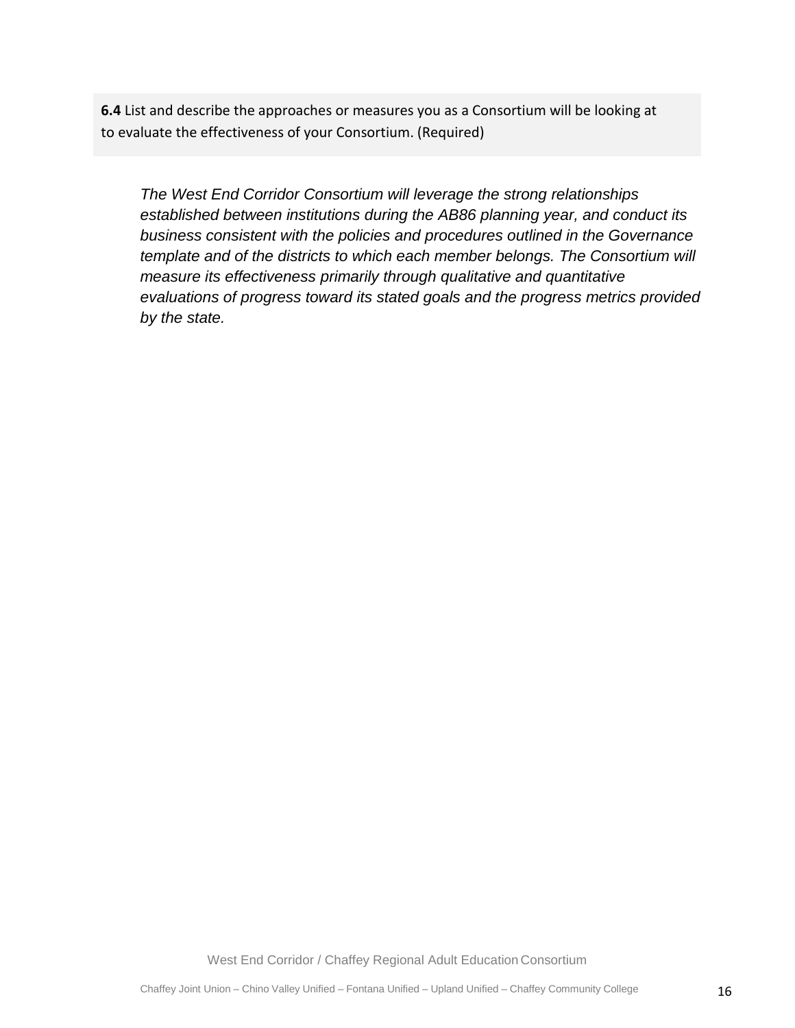**6.4** List and describe the approaches or measures you as a Consortium will be looking at to evaluate the effectiveness of your Consortium. (Required)

*The West End Corridor Consortium will leverage the strong relationships established between institutions during the AB86 planning year, and conduct its business consistent with the policies and procedures outlined in the Governance template and of the districts to which each member belongs. The Consortium will measure its effectiveness primarily through qualitative and quantitative evaluations of progress toward its stated goals and the progress metrics provided by the state.*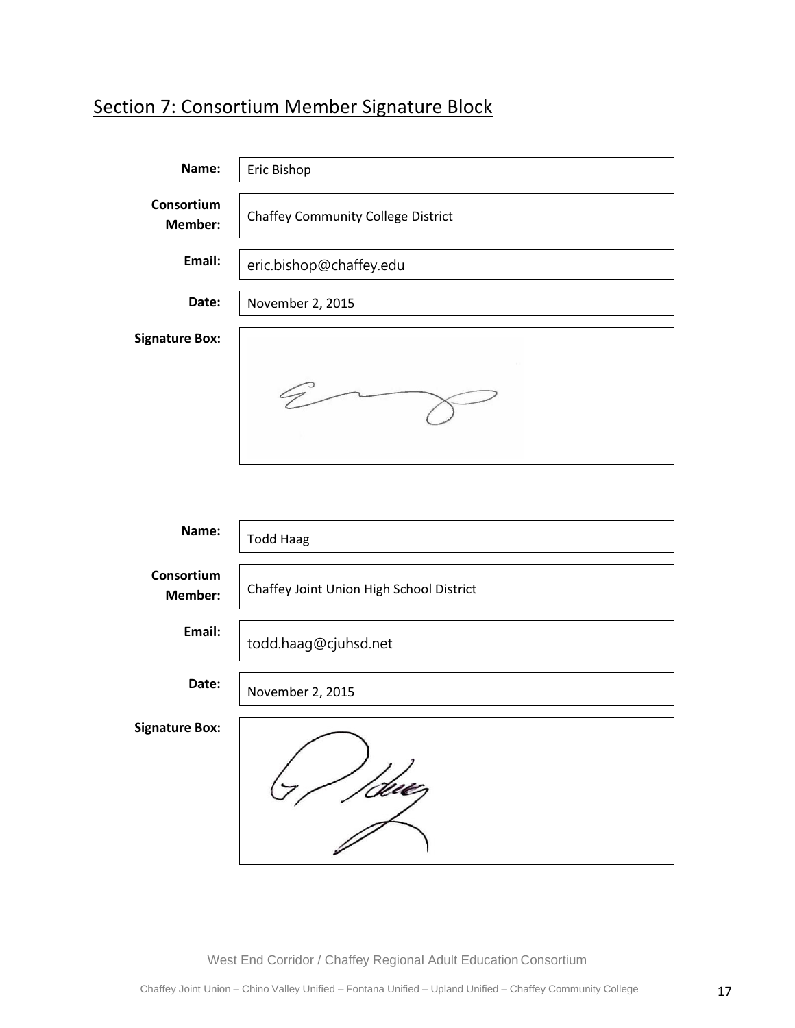# Section 7: Consortium Member Signature Block

| Name:                 | Eric Bishop                               |
|-----------------------|-------------------------------------------|
| Consortium<br>Member: | <b>Chaffey Community College District</b> |
| Email:                | eric.bishop@chaffey.edu                   |
| Date:                 | November 2, 2015                          |
| <b>Signature Box:</b> |                                           |
|                       |                                           |

| Name:                 | <b>Todd Haag</b>                         |
|-----------------------|------------------------------------------|
| Consortium<br>Member: | Chaffey Joint Union High School District |
| Email:                | todd.haag@cjuhsd.net                     |
| Date:                 | November 2, 2015                         |
| <b>Signature Box:</b> |                                          |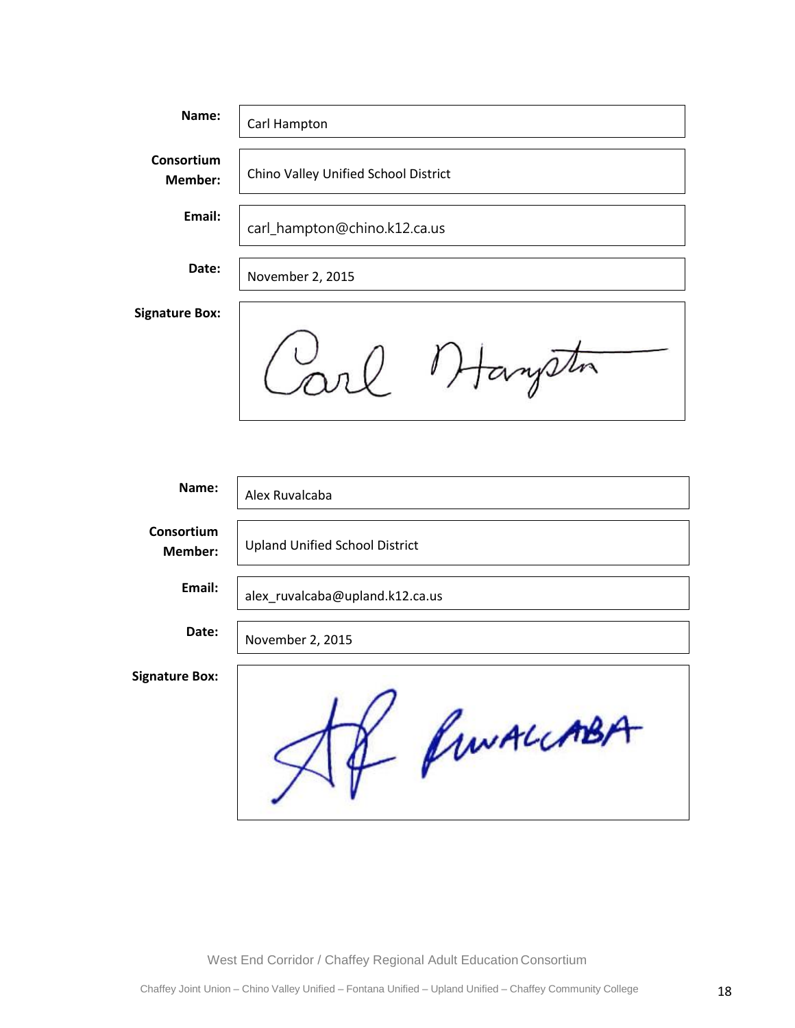| Name:                 | Carl Hampton                         |
|-----------------------|--------------------------------------|
| Consortium<br>Member: | Chino Valley Unified School District |
| Email:                | carl_hampton@chino.k12.ca.us         |
| Date:                 | November 2, 2015                     |
| <b>Signature Box:</b> |                                      |
|                       | mysun                                |

| Name:                 | Alex Ruvalcaba                        |
|-----------------------|---------------------------------------|
| Consortium<br>Member: | <b>Upland Unified School District</b> |
| Email:                | alex_ruvalcaba@upland.k12.ca.us       |
| Date:                 | November 2, 2015                      |
| <b>Signature Box:</b> | funALCABA                             |